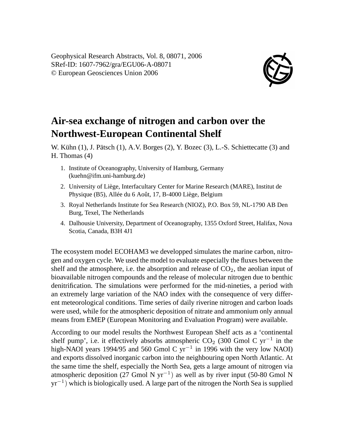

## **Air-sea exchange of nitrogen and carbon over the Northwest-European Continental Shelf**

W. Kühn (1), J. Pätsch (1), A.V. Borges (2), Y. Bozec (3), L.-S. Schiettecatte (3) and H. Thomas (4)

- 1. Institute of Oceanography, University of Hamburg, Germany (kuehn@ifm.uni-hamburg.de)
- 2. University of Liège, Interfacultary Center for Marine Research (MARE), Institut de Physique (B5), Allée du 6 Août, 17, B-4000 Liège, Belgium
- 3. Royal Netherlands Institute for Sea Research (NIOZ), P.O. Box 59, NL-1790 AB Den Burg, Texel, The Netherlands
- 4. Dalhousie University, Department of Oceanography, 1355 Oxford Street, Halifax, Nova Scotia, Canada, B3H 4J1

The ecosystem model ECOHAM3 we developped simulates the marine carbon, nitrogen and oxygen cycle. We used the model to evaluate especially the fluxes between the shelf and the atmosphere, i.e. the absorption and release of  $CO<sub>2</sub>$ , the aeolian input of bioavailable nitrogen compounds and the release of molecular nitrogen due to benthic denitrification. The simulations were performed for the mid-nineties, a period with an extremely large variation of the NAO index with the consequence of very different meteorological conditions. Time series of daily riverine nitrogen and carbon loads were used, while for the atmospheric deposition of nitrate and ammonium only annual means from EMEP (European Monitoring and Evaluation Program) were available.

According to our model results the Northwest European Shelf acts as a 'continental shelf pump', i.e. it effectively absorbs atmospheric  $CO_2$  (300 Gmol C yr<sup>-1</sup> in the high-NAOI years 1994/95 and 560 Gmol C yr<sup>-1</sup> in 1996 with the very low NAOI) and exports dissolved inorganic carbon into the neighbouring open North Atlantic. At the same time the shelf, especially the North Sea, gets a large amount of nitrogen via atmospheric deposition (27 Gmol N yr<sup>-1</sup>) as well as by river input (50-80 Gmol N yr<sup>−</sup><sup>1</sup> ) which is biologically used. A large part of the nitrogen the North Sea is supplied